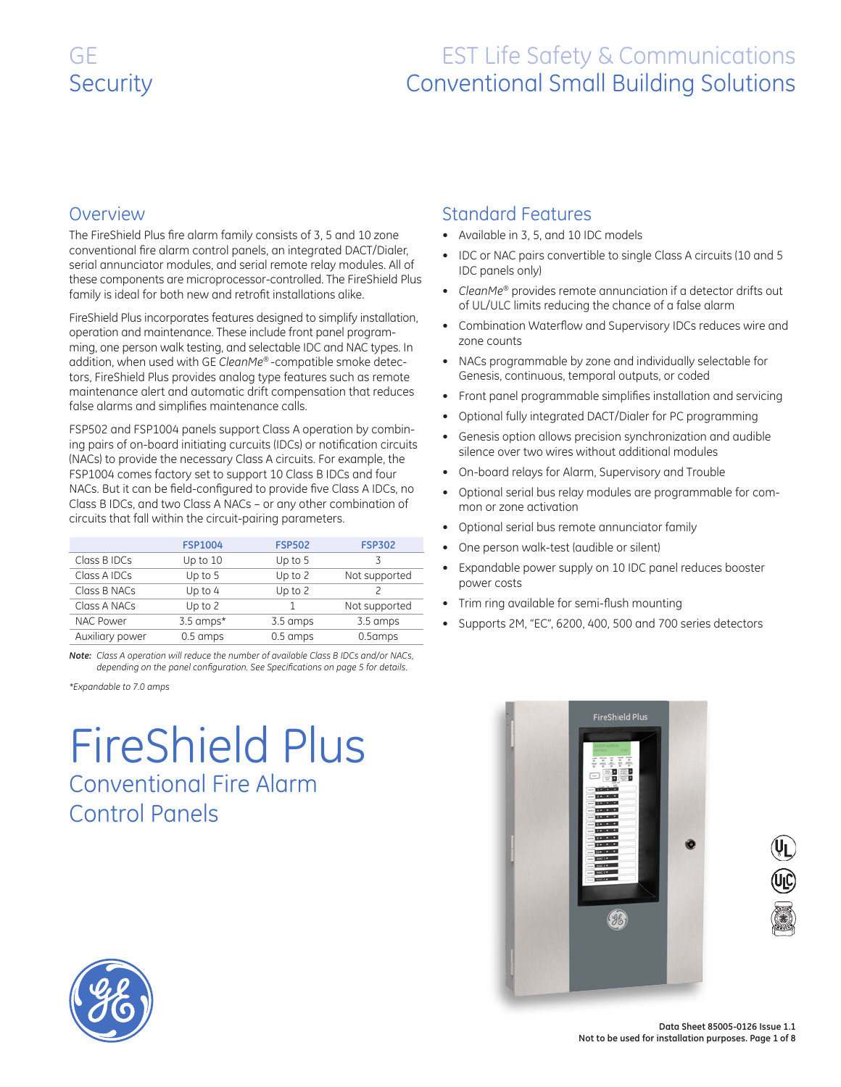### **Overview**

The FireShield Plus fire alarm family consists of 3, 5 and 10 zone conventional fire alarm control panels, an integrated DACT/Dialer, serial annunciator modules, and serial remote relay modules. All of these components are microprocessor-controlled. The FireShield Plus family is ideal for both new and retrofit installations alike.

FireShield Plus incorporates features designed to simplify installation, operation and maintenance. These include front panel programming, one person walk testing, and selectable IDC and NAC types. In addition, when used with GE *CleanMe®* -compatible smoke detectors, FireShield Plus provides analog type features such as remote maintenance alert and automatic drift compensation that reduces false alarms and simplifies maintenance calls.

FSP502 and FSP1004 panels support Class A operation by combining pairs of on-board initiating curcuits (IDCs) or notification circuits (NACs) to provide the necessary Class A circuits. For example, the FSP1004 comes factory set to support 10 Class B IDCs and four NACs. But it can be field-configured to provide five Class A IDCs, no Class B IDCs, and two Class A NACs – or any other combination of circuits that fall within the circuit-pairing parameters.

|                  | <b>FSP1004</b>     | <b>FSP502</b> | <b>FSP302</b> |
|------------------|--------------------|---------------|---------------|
| Class B IDCs     | Up to 10           | Up to $5$     | 3             |
| Class A IDCs     | Up to $5$          | Up to 2       | Not supported |
| Class B NACs     | Up to 4            | Up to 2       |               |
| Class A NACs     | Up to $2$          |               | Not supported |
| <b>NAC Power</b> | $3.5$ amps*        | 3.5 amps      | 3.5 amps      |
| Auxiliary power  | $0.5 \text{ amps}$ | 0.5 amps      | 0.5amps       |
|                  |                    |               |               |

*Note: Class A operation will reduce the number of available Class B IDCs and/or NACs, depending on the panel configuration. See Specifications on page 5 for details.*

*\*Expandable to 7.0 amps*

# FireShield Plus Conventional Fire Alarm Control Panels

## Standard Features

- • Available in 3, 5, and 10 IDC models
- IDC or NAC pairs convertible to single Class A circuits (10 and 5) IDC panels only)
- *• CleanMe®* provides remote annunciation if a detector drifts out of UL/ULC limits reducing the chance of a false alarm
- Combination Waterflow and Supervisory IDCs reduces wire and zone counts
- • NACs programmable by zone and individually selectable for Genesis, continuous, temporal outputs, or coded
- Front panel programmable simplifies installation and servicing
- Optional fully integrated DACT/Dialer for PC programming
- • Genesis option allows precision synchronization and audible silence over two wires without additional modules
- • On-board relays for Alarm, Supervisory and Trouble
- Optional serial bus relay modules are programmable for common or zone activation
- • Optional serial bus remote annunciator family
- One person walk-test (audible or silent)
- • Expandable power supply on 10 IDC panel reduces booster power costs
- • Trim ring available for semi-flush mounting
- Supports 2M, "EC", 6200, 400, 500 and 700 series detectors





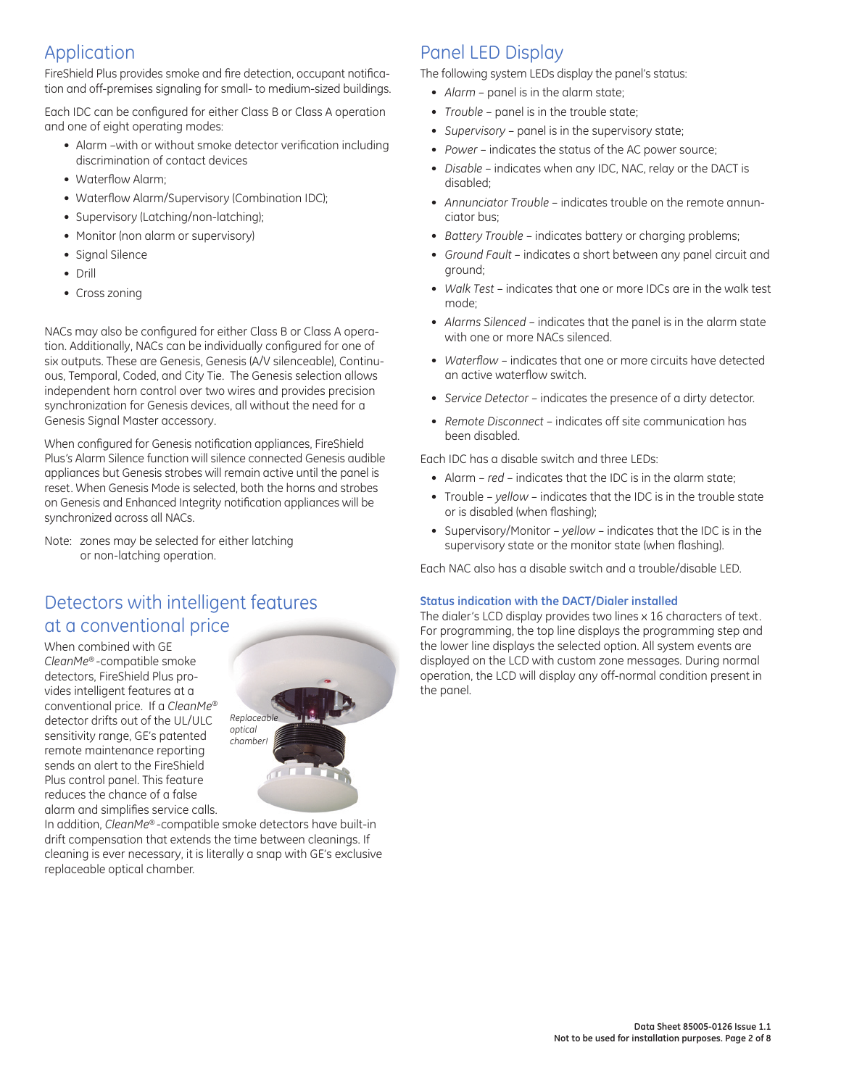### Application

FireShield Plus provides smoke and fire detection, occupant notification and off-premises signaling for small- to medium-sized buildings.

Each IDC can be configured for either Class B or Class A operation and one of eight operating modes:

- Alarm -with or without smoke detector verification including discrimination of contact devices
- Waterflow Alarm;
- Waterflow Alarm/Supervisory (Combination IDC);
- Supervisory (Latching/non-latching);
- Monitor (non alarm or supervisory)
- Signal Silence
- Drill
- Cross zoning

NACs may also be configured for either Class B or Class A operation. Additionally, NACs can be individually configured for one of six outputs. These are Genesis, Genesis (A/V silenceable), Continuous, Temporal, Coded, and City Tie. The Genesis selection allows independent horn control over two wires and provides precision synchronization for Genesis devices, all without the need for a Genesis Signal Master accessory.

When configured for Genesis notification appliances, FireShield Plus*'s* Alarm Silence function will silence connected Genesis audible appliances but Genesis strobes will remain active until the panel is reset. When Genesis Mode is selected, both the horns and strobes on Genesis and Enhanced Integrity notification appliances will be synchronized across all NACs.

Note: zones may be selected for either latching or non-latching operation.

## Detectors with intelligent features at a conventional price

When combined with GE *CleanMe®* -compatible smoke detectors, FireShield Plus provides intelligent features at a conventional price. If a *CleanMe®* detector drifts out of the UL/ULC sensitivity range, GE's patented remote maintenance reporting sends an alert to the FireShield Plus control panel. This feature reduces the chance of a false alarm and simplifies service calls.



In addition, *CleanMe®* -compatible smoke detectors have built-in drift compensation that extends the time between cleanings. If cleaning is ever necessary, it is literally a snap with GE's exclusive replaceable optical chamber.

## Panel LED Display

The following system LEDs display the panel's status:

- Alarm panel is in the alarm state;
- *Trouble*  panel is in the trouble state; *•*
- *Supervisory*  panel is in the supervisory state; *•*
- Power indicates the status of the AC power source;
- *Disable*  indicates when any IDC, NAC, relay or the DACT is *•* disabled;
- *Annunciator Trouble*  indicates trouble on the remote annun-*•* ciator bus;
- Battery Trouble indicates battery or charging problems;
- *Ground Fault*  indicates a short between any panel circuit and *•* ground;
- Walk Test indicates that one or more IDCs are in the walk test mode;
- *Alarms Silenced*  indicates that the panel is in the alarm state *•* with one or more NACs silenced.
- Waterflow indicates that one or more circuits have detected an active waterflow switch.
- *Service Detector* indicates the presence of a dirty detector. *•*
- *Remote Disconnect* indicates off site communication has *•* been disabled.

Each IDC has a disable switch and three I FDs<sup>.</sup>

- Alarm *red* indicates that the IDC is in the alarm state;
- Trouble *yellow*  indicates that the IDC is in the trouble state or is disabled (when flashing);
- Supervisory/Monitor yellow indicates that the IDC is in the supervisory state or the monitor state (when flashing).

Each NAC also has a disable switch and a trouble/disable LED.

### **Status indication with the DACT/Dialer installed**

The dialer's LCD display provides two lines x 16 characters of text. For programming, the top line displays the programming step and the lower line displays the selected option. All system events are displayed on the LCD with custom zone messages. During normal operation, the LCD will display any off-normal condition present in the panel.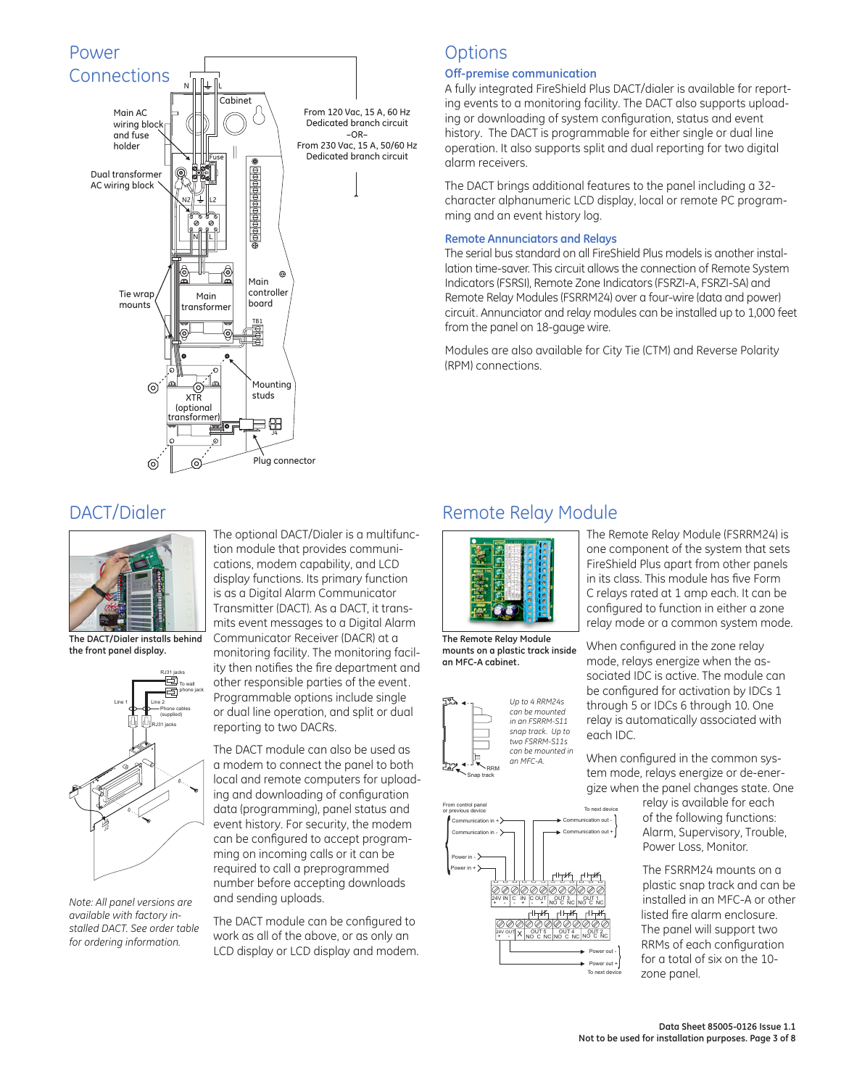

### **Options**

#### **Off-premise communication**

A fully integrated FireShield Plus DACT/dialer is available for reporting events to a monitoring facility. The DACT also supports uploading or downloading of system configuration, status and event history. The DACT is programmable for either single or dual line operation. It also supports split and dual reporting for two digital alarm receivers.

The DACT brings additional features to the panel including a 32 character alphanumeric LCD display, local or remote PC programming and an event history log.

#### **Remote Annunciators and Relays**

The serial bus standard on all FireShield Plus models is another installation time-saver. This circuit allows the connection of Remote System Indicators (FSRSI), Remote Zone Indicators (FSRZI-A, FSRZI-SA) and Remote Relay Modules (FSRRM24) over a four-wire (data and power) circuit. Annunciator and relay modules can be installed up to 1,000 feet from the panel on 18-gauge wire.

Modules are also available for City Tie (CTM) and Reverse Polarity (RPM) connections.

### DACT/Dialer



**The DACT/Dialer installs behind the front panel display.**



*Note: All panel versions are available with factory installed DACT. See order table for ordering information.*

The optional DACT/Dialer is a multifunction module that provides communications, modem capability, and LCD display functions. Its primary function is as a Digital Alarm Communicator Transmitter (DACT). As a DACT, it transmits event messages to a Digital Alarm Communicator Receiver (DACR) at a monitoring facility. The monitoring facility then notifies the fire department and other responsible parties of the event. Programmable options include single or dual line operation, and split or dual reporting to two DACRs.

The DACT module can also be used as a modem to connect the panel to both local and remote computers for uploading and downloading of configuration data (programming), panel status and event history. For security, the modem can be configured to accept programming on incoming calls or it can be required to call a preprogrammed number before accepting downloads and sending uploads.

The DACT module can be configured to work as all of the above, or as only an LCD display or LCD display and modem.

### Remote Relay Module



**The Remote Relay Module mounts on a plastic track inside an MFC-A cabinet.**





The Remote Relay Module (FSRRM24) is one component of the system that sets FireShield Plus apart from other panels in its class. This module has five Form C relays rated at 1 amp each. It can be configured to function in either a zone relay mode or a common system mode.

When configured in the zone relay mode, relays energize when the associated IDC is active. The module can be configured for activation by IDCs 1 through 5 or IDCs 6 through 10. One relay is automatically associated with each IDC.

When configured in the common system mode, relays energize or de-energize when the panel changes state. One

> relay is available for each of the following functions: Alarm, Supervisory, Trouble, Power Loss, Monitor.

The FSRRM24 mounts on a plastic snap track and can be installed in an MFC-A or other listed fire alarm enclosure. The panel will support two RRMs of each configuration for a total of six on the 10 zone panel.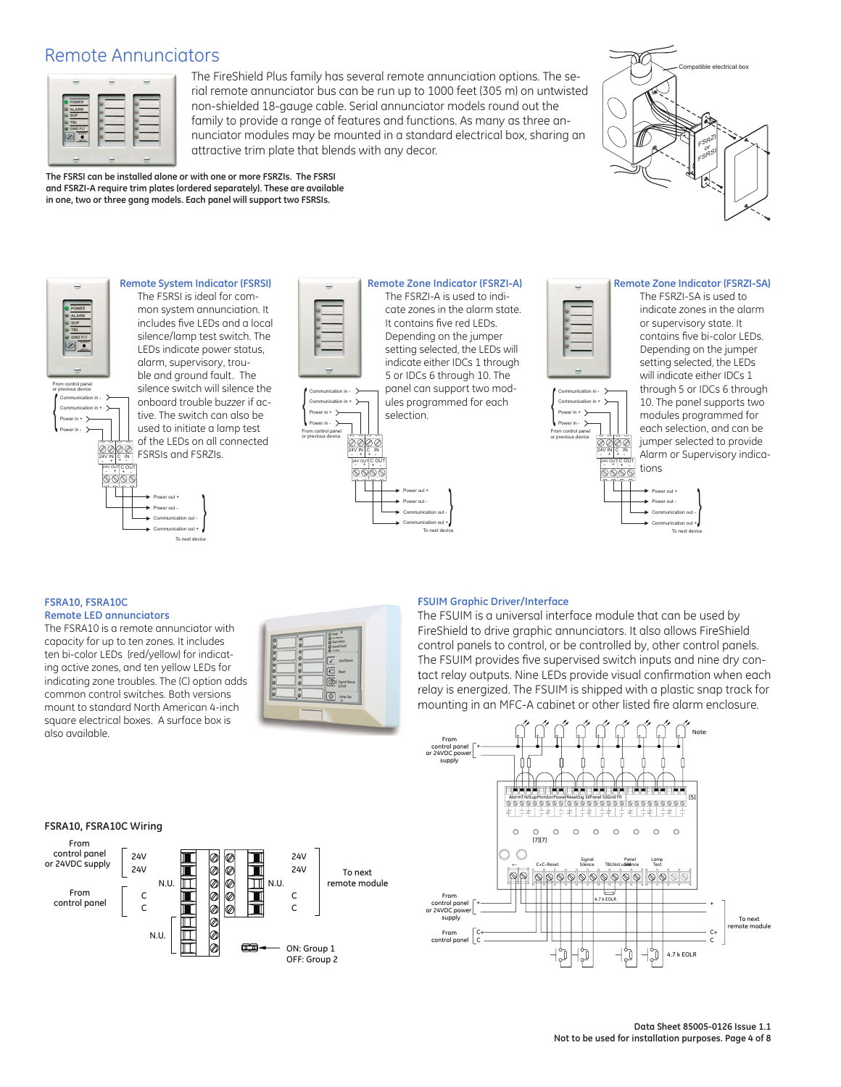### Remote Annunciators



The FireShield Plus family has several remote annunciation options. The serial remote annunciator bus can be run up to 1000 feet (305 m) on untwisted non-shielded 18-gauge cable. Serial annunciator models round out the family to provide a range of features and functions. As many as three annunciator modules may be mounted in a standard electrical box, sharing an attractive trim plate that blends with any decor.

Compatible electrical box FSRZI or FSRS<sup>I</sup>

#1 IN

**Remote System Indicator (FSRSI)** The FSRSI is ideal for common system annunciation. It includes five LEDs and a local silence/lamp test switch. The LEDs indicate power status, alarm, supervisory, trouble and ground fault. The silence switch will silence the onboard trouble buzzer if active. The switch can also be used to initiate a lamp test of the LEDs on all connected 0000 FSRSIs and FSRZIs. 4V m C IN + - 24V OUT C OL C OUT

**The FSRSI can be installed alone or with one or more FSRZIs. The FSRSI and FSRZI-A require trim plates (ordered separately). These are available in one, two or three gang models. Each panel will support two FSRSIs.**

> Power out + Power out -

Communication out + Communication out -

To next

{





**Remote Zone Indicator (FSRZI-A)** The FSRZI-A is used to indicate zones in the alarm state. It contains five red LEDs. Depending on the jumper setting selected, the LEDs will indicate either IDCs 1 through 5 or IDCs 6 through 10. The

panel can support two modules programmed for each selection.

{

Power out + Power out -

Communication out + Communication out -

To next device



Power in + Power in -

From control panel or previous device

{

Communication in - Communication in +

> 24V IN 4V IN C IN + - C OUT 24V OUT C OL - +

0000

#### **Remote Zone Indicator (FSRZI-SA)**

The FSRZI-SA is used to indicate zones in the alarm or supervisory state. It contains five bi-color LEDs. Depending on the jumper setting selected, the LEDs will indicate either IDCs 1 through 5 or IDCs 6 through

10. The panel supports two modules programmed for each selection, and can be jumper selected to provide Alarm or Supervisory indications

{

Power out + Power out -

Communication out + Communication out -

To next device

#### **FSRA10, FSRA10C Remote LED annunciators**

24V IN

Power in + Power in -

{

From control panel or previous device

Communication in - Communication in +

The FSRA10 is a remote annunciator with capacity for up to ten zones. It includes ten bi-color LEDs (red/yellow) for indicating active zones, and ten yellow LEDs for indicating zone troubles. The (C) option adds common control switches. Both versions mount to standard North American 4-inch square electrical boxes. A surface box is also available.



#### **FSUIM Graphic Driver/Interface**

The FSUIM is a universal interface module that can be used by FireShield to drive graphic annunciators. It also allows FireShield control panels to control, or be controlled by, other control panels. The FSUIM provides five supervised switch inputs and nine dry contact relay outputs. Nine LEDs provide visual confirmation when each relay is energized. The FSUIM is shipped with a plastic snap track for mounting in an MFC-A cabinet or other listed fire alarm enclosure.



#### **FSRA10, FSRA10C Wiring**

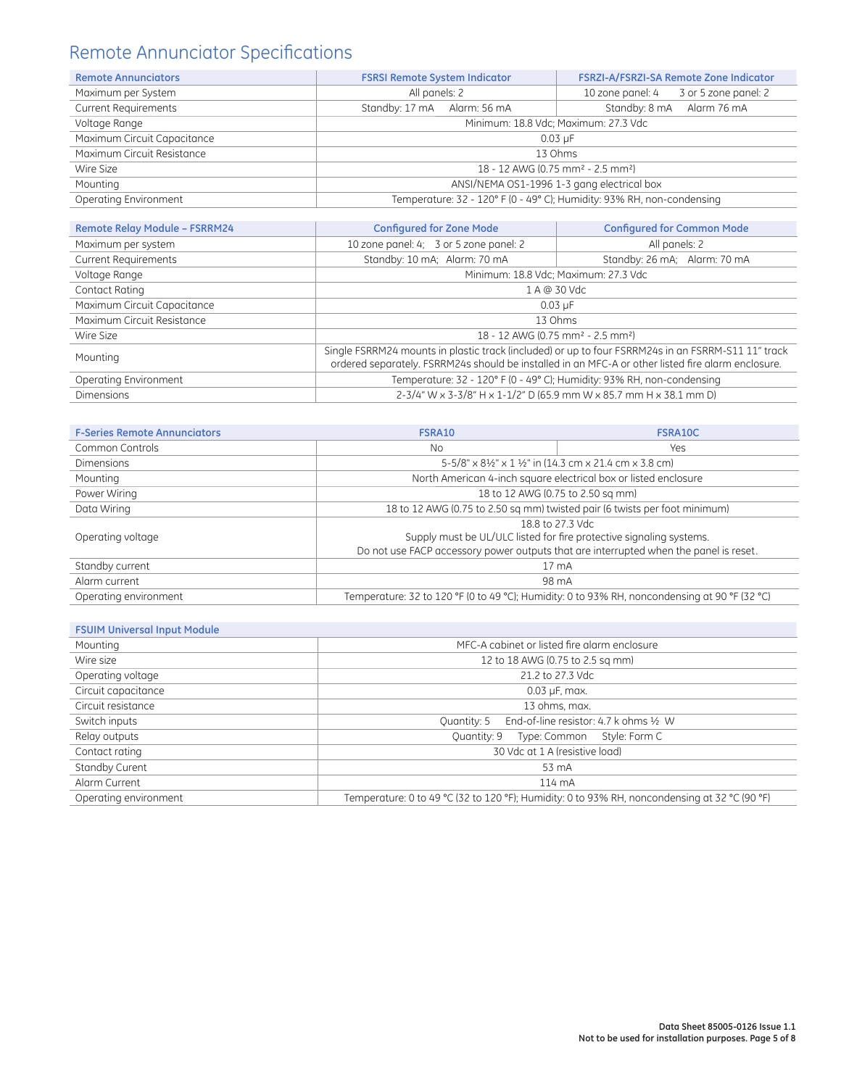## Remote Annunciator Specifications

| <b>Remote Annunciators</b>   | <b>FSRSI Remote System Indicator</b>                                   | FSRZI-A/FSRZI-SA Remote Zone Indicator   |  |  |  |  |
|------------------------------|------------------------------------------------------------------------|------------------------------------------|--|--|--|--|
| Maximum per System           | All panels: 2                                                          | 3 or 5 zone panel: 2<br>10 zone panel: 4 |  |  |  |  |
| <b>Current Requirements</b>  | Standby: 17 mA Alarm: 56 mA                                            | Standby: 8 mA Alarm 76 mA                |  |  |  |  |
| Voltage Range                | Minimum: 18.8 Vdc; Maximum: 27.3 Vdc                                   |                                          |  |  |  |  |
| Maximum Circuit Capacitance  | $0.03 \mu F$                                                           |                                          |  |  |  |  |
| Maximum Circuit Resistance   | 13 Ohms                                                                |                                          |  |  |  |  |
| Wire Size                    | 18 - 12 AWG (0.75 mm <sup>2</sup> - 2.5 mm <sup>2</sup> )              |                                          |  |  |  |  |
| Mounting                     | ANSI/NEMA OS1-1996 1-3 gang electrical box                             |                                          |  |  |  |  |
| <b>Operating Environment</b> | Temperature: 32 - 120° F (0 - 49° C); Humidity: 93% RH, non-condensing |                                          |  |  |  |  |

| <b>Remote Relay Module - FSRRM24</b> | <b>Configured for Zone Mode</b><br><b>Configured for Common Mode</b>                                                                                                                                     |                                      |  |  |  |  |
|--------------------------------------|----------------------------------------------------------------------------------------------------------------------------------------------------------------------------------------------------------|--------------------------------------|--|--|--|--|
| Maximum per system                   | 10 zone panel: 4; 3 or 5 zone panel: 2<br>All panels: 2                                                                                                                                                  |                                      |  |  |  |  |
| <b>Current Requirements</b>          | Standby: 10 mA; Alarm: 70 mA                                                                                                                                                                             | Standby: 26 mA; Alarm: 70 mA         |  |  |  |  |
| Voltage Range                        |                                                                                                                                                                                                          | Minimum: 18.8 Vdc; Maximum: 27.3 Vdc |  |  |  |  |
| Contact Rating                       |                                                                                                                                                                                                          | 1 A @ 30 Vdc                         |  |  |  |  |
| Maximum Circuit Capacitance          | $0.03 \mu F$                                                                                                                                                                                             |                                      |  |  |  |  |
| Maximum Circuit Resistance           | 13 Ohms                                                                                                                                                                                                  |                                      |  |  |  |  |
| Wire Size                            | 18 - 12 AWG (0.75 mm <sup>2</sup> - 2.5 mm <sup>2</sup> )                                                                                                                                                |                                      |  |  |  |  |
| Mounting                             | Single FSRRM24 mounts in plastic track (included) or up to four FSRRM24s in an FSRRM-S11 11" track<br>ordered separately. FSRRM24s should be installed in an MFC-A or other listed fire alarm enclosure. |                                      |  |  |  |  |
| Operating Environment                | Temperature: 32 - 120° F (0 - 49° C); Humidity: 93% RH, non-condensing                                                                                                                                   |                                      |  |  |  |  |
| <b>Dimensions</b>                    | 2-3/4" W x 3-3/8" H x 1-1/2" D (65.9 mm W x 85.7 mm H x 38.1 mm D)                                                                                                                                       |                                      |  |  |  |  |

| <b>F-Series Remote Annunciators</b> | FSRA10                                                                                        | <b>FSRA10C</b> |  |  |  |
|-------------------------------------|-----------------------------------------------------------------------------------------------|----------------|--|--|--|
| Common Controls                     | <b>No</b>                                                                                     | Yes            |  |  |  |
| <b>Dimensions</b>                   | 5-5/8" x 81/2" x 1 1/2" in (14.3 cm x 21.4 cm x 3.8 cm)                                       |                |  |  |  |
| Mounting                            | North American 4-inch square electrical box or listed enclosure                               |                |  |  |  |
| Power Wiring                        | 18 to 12 AWG (0.75 to 2.50 sq mm)                                                             |                |  |  |  |
| Data Wiring                         | 18 to 12 AWG (0.75 to 2.50 sq mm) twisted pair (6 twists per foot minimum)                    |                |  |  |  |
|                                     | 18.8 to 27.3 Vdc                                                                              |                |  |  |  |
| Operating voltage                   | Supply must be UL/ULC listed for fire protective signaling systems.                           |                |  |  |  |
|                                     | Do not use FACP accessory power outputs that are interrupted when the panel is reset.         |                |  |  |  |
| Standby current                     | 17 <sub>m</sub> A                                                                             |                |  |  |  |
| Alarm current                       | 98 mA                                                                                         |                |  |  |  |
| Operating environment               | Temperature: 32 to 120 °F (0 to 49 °C); Humidity: 0 to 93% RH, noncondensing at 90 °F (32 °C) |                |  |  |  |

#### **FSUIM Universal Input Module**

| Mounting              | MFC-A cabinet or listed fire alarm enclosure                                                  |
|-----------------------|-----------------------------------------------------------------------------------------------|
| Wire size             | 12 to 18 AWG (0.75 to 2.5 sq mm)                                                              |
| Operating voltage     | 21.2 to 27.3 Vdc                                                                              |
| Circuit capacitance   | 0.03 µF, max.                                                                                 |
| Circuit resistance    | 13 ohms, max.                                                                                 |
| Switch inputs         | End-of-line resistor: 4.7 k ohms 1/2 W<br>Quantity: 5                                         |
| Relay outputs         | Type: Common Style: Form C<br>Ougntity: 9                                                     |
| Contact rating        | 30 Vdc at 1 A (resistive load)                                                                |
| Standby Curent        | 53 mA                                                                                         |
| Alarm Current         | 114 mA                                                                                        |
| Operating environment | Temperature: 0 to 49 °C (32 to 120 °F); Humidity: 0 to 93% RH, noncondensing at 32 °C (90 °F) |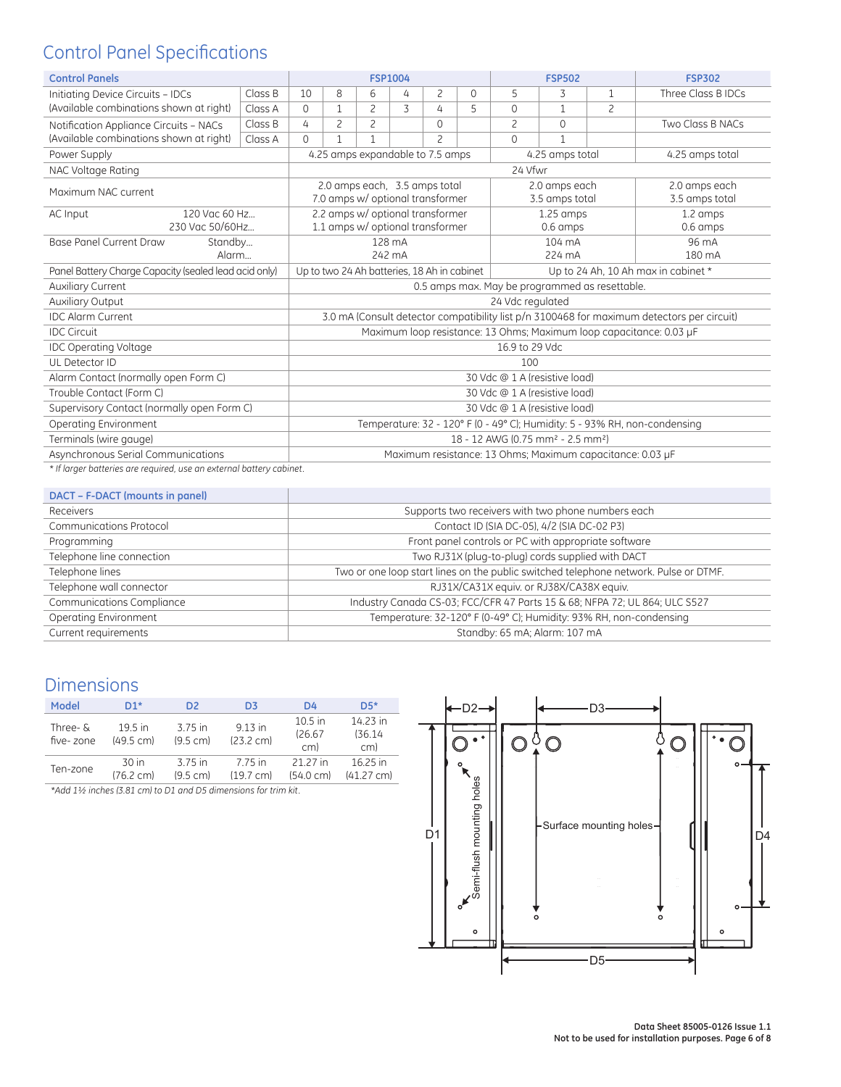## Control Panel Specifications

| <b>Control Panels</b>                                                |                                                |                                                                            |                                                                                    | <b>FSP1004</b> |                |                                                                   |          |                | <b>FSP502</b>                   |                | <b>FSP302</b>                                                                              |
|----------------------------------------------------------------------|------------------------------------------------|----------------------------------------------------------------------------|------------------------------------------------------------------------------------|----------------|----------------|-------------------------------------------------------------------|----------|----------------|---------------------------------|----------------|--------------------------------------------------------------------------------------------|
| Initiating Device Circuits - IDCs                                    | Class B                                        | 10                                                                         | 8                                                                                  | 6              | 4              | $\overline{c}$                                                    | $\Omega$ | 5              | 3                               | 1              | Three Class B IDCs                                                                         |
| (Available combinations shown at right)                              | Class A                                        | $\Omega$                                                                   | 1                                                                                  | $\overline{c}$ | $\overline{3}$ | 4                                                                 | 5        | $\Omega$       | 1                               | $\overline{c}$ |                                                                                            |
| Notification Appliance Circuits - NACs                               | Class B                                        | 4                                                                          | 2                                                                                  | 2              |                | $\Omega$                                                          |          | 2              | $\Omega$                        |                | Two Class B NACs                                                                           |
| (Available combinations shown at right)                              | Class A                                        | $\Omega$                                                                   | $\mathbf{1}$                                                                       | $\mathbf{1}$   |                | $\overline{c}$                                                    |          | $\Omega$       | $\mathbf{1}$                    |                |                                                                                            |
| Power Supply                                                         |                                                |                                                                            |                                                                                    |                |                | 4.25 amps expandable to 7.5 amps                                  |          |                | 4.25 amps total                 |                | 4.25 amps total                                                                            |
| NAC Voltage Rating                                                   |                                                |                                                                            |                                                                                    |                |                |                                                                   |          | 24 Vfwr        |                                 |                |                                                                                            |
| Maximum NAC current                                                  |                                                |                                                                            |                                                                                    |                |                | 2.0 amps each, 3.5 amps total<br>7.0 amps w/ optional transformer |          |                | 2.0 amps each<br>3.5 amps total |                | 2.0 amps each<br>3.5 amps total                                                            |
| 120 Vac 60 Hz<br>AC Input                                            |                                                |                                                                            |                                                                                    |                |                | 2.2 amps w/ optional transformer                                  |          |                | $1.25$ amps                     |                | 1.2 amps                                                                                   |
| 230 Vac 50/60Hz                                                      |                                                |                                                                            |                                                                                    |                |                | 1.1 amps w/ optional transformer                                  |          |                | 0.6 amps                        |                | $0.6 \, \text{amps}$                                                                       |
| <b>Base Panel Current Draw</b><br>Standby                            |                                                |                                                                            |                                                                                    | 128 mA         |                |                                                                   |          |                | 104 mA                          |                | 96 mA                                                                                      |
| Alarm                                                                |                                                |                                                                            |                                                                                    | 242 mA         |                |                                                                   |          | 224 mA         |                                 |                | 180 mA                                                                                     |
| Panel Battery Charge Capacity (sealed lead acid only)                |                                                |                                                                            | Up to two 24 Ah batteries, 18 Ah in cabinet<br>Up to 24 Ah, 10 Ah max in cabinet * |                |                |                                                                   |          |                |                                 |                |                                                                                            |
| <b>Auxiliary Current</b>                                             | 0.5 amps max. May be programmed as resettable. |                                                                            |                                                                                    |                |                |                                                                   |          |                |                                 |                |                                                                                            |
| <b>Auxiliary Output</b>                                              |                                                | 24 Vdc regulated                                                           |                                                                                    |                |                |                                                                   |          |                |                                 |                |                                                                                            |
| <b>IDC Algrm Current</b>                                             |                                                |                                                                            |                                                                                    |                |                |                                                                   |          |                |                                 |                | 3.0 mA (Consult detector compatibility list p/n 3100468 for maximum detectors per circuit) |
| <b>IDC Circuit</b>                                                   |                                                |                                                                            |                                                                                    |                |                |                                                                   |          |                |                                 |                | Maximum loop resistance: 13 Ohms; Maximum loop capacitance: 0.03 µF                        |
| <b>IDC Operating Voltage</b>                                         |                                                |                                                                            |                                                                                    |                |                |                                                                   |          | 16.9 to 29 Vdc |                                 |                |                                                                                            |
| UL Detector ID                                                       |                                                |                                                                            |                                                                                    |                |                |                                                                   |          | 100            |                                 |                |                                                                                            |
| Alarm Contact (normally open Form C)                                 |                                                |                                                                            |                                                                                    |                |                |                                                                   |          |                | 30 Vdc @ 1 A (resistive load)   |                |                                                                                            |
| Trouble Contact (Form C)<br>30 Vdc @ 1 A (resistive load)            |                                                |                                                                            |                                                                                    |                |                |                                                                   |          |                |                                 |                |                                                                                            |
| Supervisory Contact (normally open Form C)                           |                                                |                                                                            | 30 Vdc @ 1 A (resistive load)                                                      |                |                |                                                                   |          |                |                                 |                |                                                                                            |
| Operating Environment                                                |                                                | Temperature: 32 - 120° F (0 - 49° C); Humidity: 5 - 93% RH, non-condensing |                                                                                    |                |                |                                                                   |          |                |                                 |                |                                                                                            |
| Terminals (wire gauge)                                               |                                                |                                                                            | 18 - 12 AWG (0.75 mm <sup>2</sup> - 2.5 mm <sup>2</sup> )                          |                |                |                                                                   |          |                |                                 |                |                                                                                            |
| Asynchronous Serial Communications                                   |                                                |                                                                            | Maximum resistance: 13 Ohms; Maximum capacitance: 0.03 µF                          |                |                |                                                                   |          |                |                                 |                |                                                                                            |
| * If larger batteries are required, use an external battery cabinet. |                                                |                                                                            |                                                                                    |                |                |                                                                   |          |                |                                 |                |                                                                                            |

#### **DACT – F-DACT (mounts in panel)**

| <b>DACT - L-DACT (INDUITS IN DUNCI)</b> |                                                                                      |
|-----------------------------------------|--------------------------------------------------------------------------------------|
| Receivers                               | Supports two receivers with two phone numbers each                                   |
| <b>Communications Protocol</b>          | Contact ID (SIA DC-05), 4/2 (SIA DC-02 P3)                                           |
| Programming                             | Front panel controls or PC with appropriate software                                 |
| Telephone line connection               | Two RJ31X (plug-to-plug) cords supplied with DACT                                    |
| Telephone lines                         | Two or one loop start lines on the public switched telephone network. Pulse or DTMF. |
| Telephone wall connector                | RJ31X/CA31X equiv. or RJ38X/CA38X equiv.                                             |
| Communications Compliance               | Industry Canada CS-03; FCC/CFR 47 Parts 15 & 68; NFPA 72; UL 864; ULC S527           |
| Operating Environment                   | Temperature: 32-120° F (0-49° C); Humidity: 93% RH, non-condensing                   |
| Current requirements                    | Standby: 65 mA; Alarm: 107 mA                                                        |

## Dimensions

| Model                        | D1*                              | D2<br>D <sub>3</sub>                                                                                                                                                                                                                                                                                               |                                  | D4                              | $DS*$                            |
|------------------------------|----------------------------------|--------------------------------------------------------------------------------------------------------------------------------------------------------------------------------------------------------------------------------------------------------------------------------------------------------------------|----------------------------------|---------------------------------|----------------------------------|
| Three- $\delta$<br>five-zone | $19.5$ in<br>$(49.5 \text{ cm})$ | 3.75 in<br>$(9.5 \text{ cm})$                                                                                                                                                                                                                                                                                      | $9.13$ in<br>$(23.2 \text{ cm})$ | $10.5$ in<br>126.67<br>cm)      | 14.23 in<br>(36.14)<br>cm)       |
| Ten-zone                     | 30 in<br>$(76.2 \text{ cm})$     | 3.75 in<br>$(9.5 \text{ cm})$                                                                                                                                                                                                                                                                                      | 7.75 in<br>$(19.7 \text{ cm})$   | 21 27 in<br>$(54.0 \text{ cm})$ | 16.25 in<br>$(41.27 \text{ cm})$ |
| .                            |                                  | $\sqrt{2}$ $\sqrt{2}$ $\sqrt{2}$ $\sqrt{2}$ $\sqrt{2}$ $\sqrt{2}$ $\sqrt{2}$ $\sqrt{2}$ $\sqrt{2}$ $\sqrt{2}$ $\sqrt{2}$ $\sqrt{2}$ $\sqrt{2}$ $\sqrt{2}$ $\sqrt{2}$ $\sqrt{2}$ $\sqrt{2}$ $\sqrt{2}$ $\sqrt{2}$ $\sqrt{2}$ $\sqrt{2}$ $\sqrt{2}$ $\sqrt{2}$ $\sqrt{2}$ $\sqrt{2}$ $\sqrt{2}$ $\sqrt{2}$ $\sqrt{2$ |                                  |                                 |                                  |

*\*Add 1½ inches (3.81 cm) to D1 and D5 dimensions for trim kit.*

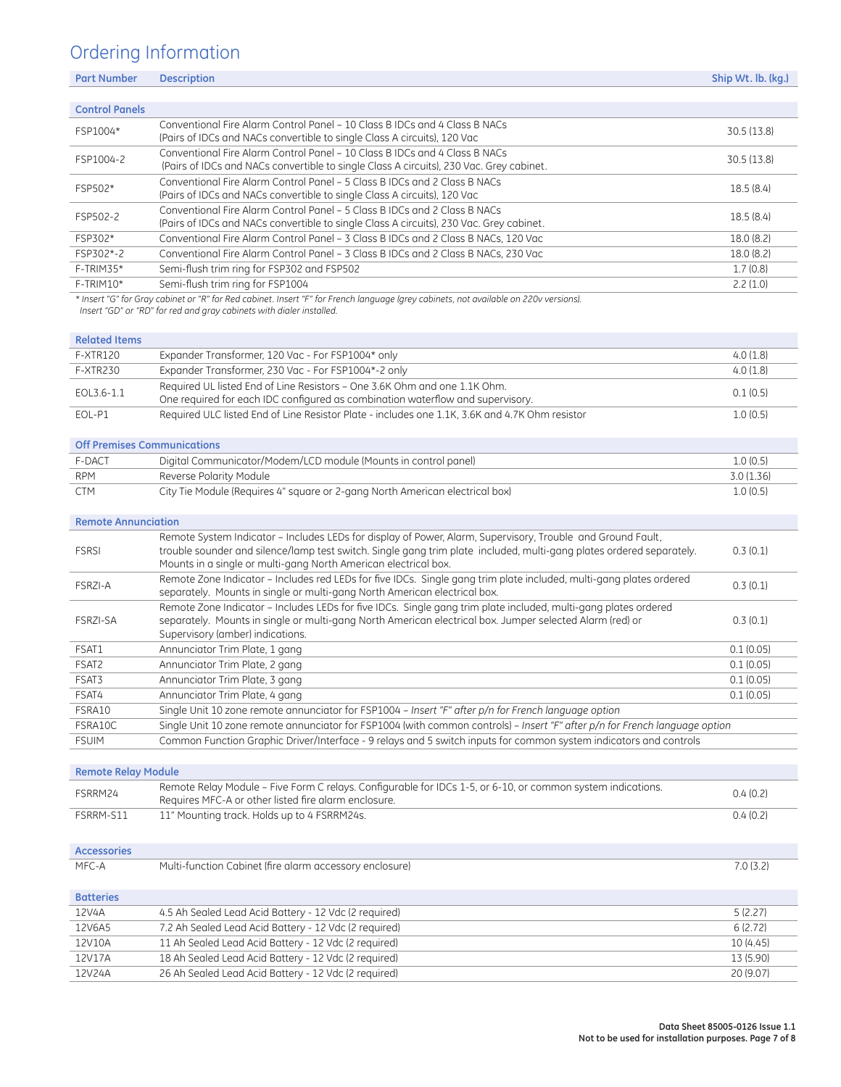## Ordering Information

| <b>Part Number</b>    | <b>Description</b>                                                                                                                                                    | Ship Wt. lb. (kg.) |
|-----------------------|-----------------------------------------------------------------------------------------------------------------------------------------------------------------------|--------------------|
|                       |                                                                                                                                                                       |                    |
| <b>Control Panels</b> |                                                                                                                                                                       |                    |
| FSP1004*              | Conventional Fire Alarm Control Panel – 10 Class B IDCs and 4 Class B NACs<br>(Pairs of IDCs and NACs convertible to single Class A circuits), 120 Vac                | 30.5(13.8)         |
| FSP1004-2             | Conventional Fire Alarm Control Panel – 10 Class B IDCs and 4 Class B NACs<br>(Pairs of IDCs and NACs convertible to single Class A circuits), 230 Vac. Grey cabinet. | 30.5(13.8)         |
| FSP502*               | Conventional Fire Alarm Control Panel – 5 Class B IDCs and 2 Class B NACs<br>(Pairs of IDCs and NACs convertible to single Class A circuits), 120 Vac                 | 18.5(8.4)          |
| FSP502-2              | Conventional Fire Alarm Control Panel – 5 Class B IDCs and 2 Class B NACs<br>(Pairs of IDCs and NACs convertible to single Class A circuits), 230 Vac. Grey cabinet.  | 18.5(8.4)          |
| FSP302*               | Conventional Fire Alarm Control Panel - 3 Class B IDCs and 2 Class B NACs, 120 Vac                                                                                    | 18.0(8.2)          |
| FSP302*-2             | Conventional Fire Alarm Control Panel – 3 Class B IDCs and 2 Class B NACs, 230 Vac                                                                                    | 18.0(8.2)          |
| $F-TRIM35*$           | Semi-flush trim ring for FSP302 and FSP502                                                                                                                            | 1.7(0.8)           |
| F-TRIM10*             | Semi-flush trim ring for FSP1004                                                                                                                                      | 2.2(1.0)           |
|                       | * Insert "G" for Gray cabinet or "R" for Red cabinet. Insert "F" for French language (grey cabinets, not available on 220v versions).                                 |                    |

 *Insert "GD" or "RD" for red and gray cabinets with dialer installed.*

| <b>Related Items</b> |                                                                                                                                                             |          |
|----------------------|-------------------------------------------------------------------------------------------------------------------------------------------------------------|----------|
| F-XTR120             | Expander Transformer, 120 Vac - For FSP1004* only                                                                                                           | 4.0(1.8) |
| <b>F-XTR230</b>      | Expander Transformer, 230 Vac - For FSP1004*-2 only                                                                                                         | 4.0(1.8) |
| EOL3.6-1.1           | Required UL listed End of Line Resistors - One 3.6K Ohm and one 1.1K Ohm.<br>One required for each IDC configured as combination waterflow and supervisory. | 0.1(0.5) |
| EOL-P1               | Required ULC listed End of Line Resistor Plate - includes one 1.1K, 3.6K and 4.7K Ohm resistor                                                              | 1.0(0.5) |

#### **Off Premises Communications**

| <b>Off Premises Communications</b> |                                                                              |            |  |
|------------------------------------|------------------------------------------------------------------------------|------------|--|
| F-DACT                             | Digital Communicator/Modem/LCD module (Mounts in control panel)              | 1.0(0.5)   |  |
| <b>RPM</b>                         | Reverse Polarity Module                                                      | 3.0 (1.36) |  |
| CTM.                               | City Tie Module (Requires 4" square or 2-gang North American electrical box) | 1.0(0.5)   |  |

#### **Remote Annunciation**

| <b>FSRSI</b>      | Remote System Indicator - Includes LEDs for display of Power, Alarm, Supervisory, Trouble and Ground Fault,<br>trouble sounder and silence/lamp test switch. Single gang trim plate included, multi-gang plates ordered separately.<br>Mounts in a single or multi-gang North American electrical box. | 0.3(0.1)  |
|-------------------|--------------------------------------------------------------------------------------------------------------------------------------------------------------------------------------------------------------------------------------------------------------------------------------------------------|-----------|
| FSRZI-A           | Remote Zone Indicator – Includes red LEDs for five IDCs. Single gang trim plate included, multi-gang plates ordered<br>separately. Mounts in single or multi-gang North American electrical box.                                                                                                       | 0.3(0.1)  |
| <b>FSRZI-SA</b>   | Remote Zone Indicator - Includes LEDs for five IDCs. Single gang trim plate included, multi-gang plates ordered<br>separately. Mounts in single or multi-gang North American electrical box. Jumper selected Alarm (red) or<br>Supervisory (amber) indications.                                        | 0.3(0.1)  |
| FSAT1             | Annunciator Trim Plate, 1 gang                                                                                                                                                                                                                                                                         | 0.1(0.05) |
| FSAT <sub>2</sub> | Annunciator Trim Plate, 2 gang                                                                                                                                                                                                                                                                         | 0.1(0.05) |
| FSAT3             | Annunciator Trim Plate, 3 gang                                                                                                                                                                                                                                                                         | 0.1(0.05) |
| FSAT4             | Annunciator Trim Plate, 4 gang                                                                                                                                                                                                                                                                         | 0.1(0.05) |
| FSRA10            | Single Unit 10 zone remote annunciator for FSP1004 - Insert "F" after p/n for French language option                                                                                                                                                                                                   |           |
| FSRA10C           | Single Unit 10 zone remote annunciator for FSP1004 (with common controls) - Insert "F" after p/n for French language option                                                                                                                                                                            |           |
| <b>FSUIM</b>      | Common Function Graphic Driver/Interface - 9 relays and 5 switch inputs for common system indicators and controls                                                                                                                                                                                      |           |
|                   |                                                                                                                                                                                                                                                                                                        |           |

#### **Remote Relay Module**

| FSRRM24            | Remote Relay Module - Five Form C relays. Configurable for IDCs 1-5, or 6-10, or common system indications.<br>Requires MFC-A or other listed fire alarm enclosure. | 0.4(0.2)  |
|--------------------|---------------------------------------------------------------------------------------------------------------------------------------------------------------------|-----------|
| FSRRM-S11          | 11" Mounting track. Holds up to 4 FSRRM24s.                                                                                                                         | 0.4(0.2)  |
| <b>Accessories</b> |                                                                                                                                                                     |           |
| MFC-A              | Multi-function Cabinet (fire alarm accessory enclosure)                                                                                                             | 7.0(3.2)  |
| <b>Batteries</b>   |                                                                                                                                                                     |           |
| 12V4A              | 4.5 Ah Sealed Lead Acid Battery - 12 Vdc (2 required)                                                                                                               | 5(2.27)   |
| 12V6A5             | 7.2 Ah Sealed Lead Acid Battery - 12 Vdc (2 required)                                                                                                               | 6(2.72)   |
| 12V10A             | 11 Ah Sealed Lead Acid Battery - 12 Vdc (2 required)                                                                                                                | 10 (4.45) |
| 12V17A             | 18 Ah Sealed Lead Acid Battery - 12 Vdc (2 required)                                                                                                                | 13 (5.90) |
| 12V24A             | 26 Ah Sealed Lead Acid Battery - 12 Vdc (2 required)                                                                                                                | 20 (9.07) |